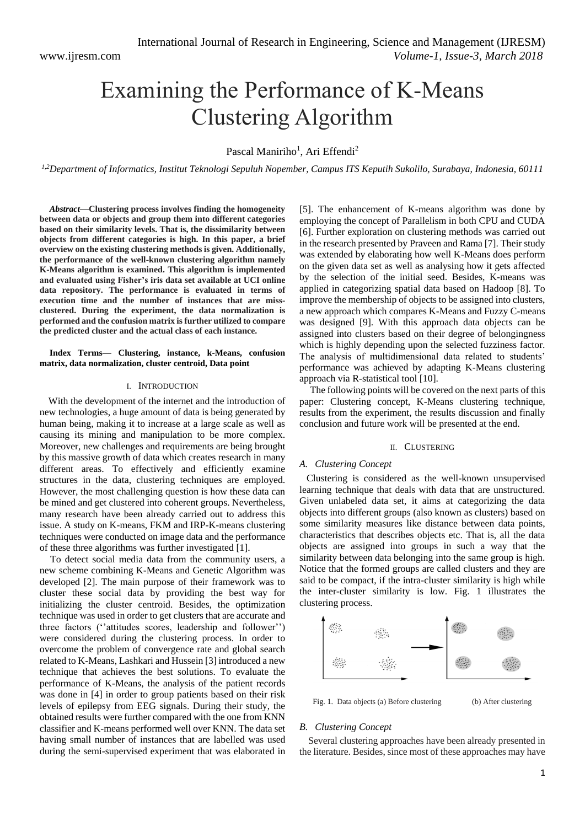# Examining the Performance of K-Means Clustering Algorithm

Pascal Maniriho<sup>1</sup>, Ari Effendi<sup>2</sup>

*1,2Department of Informatics, Institut Teknologi Sepuluh Nopember, Campus ITS Keputih Sukolilo, Surabaya, Indonesia, 60111*

*Abstract***—Clustering process involves finding the homogeneity between data or objects and group them into different categories based on their similarity levels. That is, the dissimilarity between objects from different categories is high. In this paper, a brief overview on the existing clustering methods is given. Additionally, the performance of the well-known clustering algorithm namely K-Means algorithm is examined. This algorithm is implemented and evaluated using Fisher's iris data set available at UCI online data repository. The performance is evaluated in terms of execution time and the number of instances that are missclustered. During the experiment, the data normalization is performed and the confusion matrix is further utilized to compare the predicted cluster and the actual class of each instance.**

## **Index Terms— Clustering, instance, k-Means, confusion matrix, data normalization, cluster centroid, Data point**

#### I. INTRODUCTION

With the development of the internet and the introduction of new technologies, a huge amount of data is being generated by human being, making it to increase at a large scale as well as causing its mining and manipulation to be more complex. Moreover, new challenges and requirements are being brought by this massive growth of data which creates research in many different areas. To effectively and efficiently examine structures in the data, clustering techniques are employed. However, the most challenging question is how these data can be mined and get clustered into coherent groups. Nevertheless, many research have been already carried out to address this issue. A study on K-means, FKM and IRP-K-means clustering techniques were conducted on image data and the performance of these three algorithms was further investigated [1].

To detect social media data from the community users, a new scheme combining K-Means and Genetic Algorithm was developed [2]. The main purpose of their framework was to cluster these social data by providing the best way for initializing the cluster centroid. Besides, the optimization technique was used in order to get clusters that are accurate and three factors (''attitudes scores, leadership and follower'') were considered during the clustering process. In order to overcome the problem of convergence rate and global search related to K-Means, Lashkari and Hussein [3] introduced a new technique that achieves the best solutions. To evaluate the performance of K-Means, the analysis of the patient records was done in [4] in order to group patients based on their risk levels of epilepsy from EEG signals. During their study, the obtained results were further compared with the one from KNN classifier and K-means performed well over KNN. The data set having small number of instances that are labelled was used during the semi-supervised experiment that was elaborated in [5]. The enhancement of K-means algorithm was done by employing the concept of Parallelism in both CPU and CUDA [6]. Further exploration on clustering methods was carried out in the research presented by Praveen and Rama [7]. Their study was extended by elaborating how well K-Means does perform on the given data set as well as analysing how it gets affected by the selection of the initial seed. Besides, K-means was applied in categorizing spatial data based on Hadoop [8]. To improve the membership of objects to be assigned into clusters, a new approach which compares K-Means and Fuzzy C-means was designed [9]. With this approach data objects can be assigned into clusters based on their degree of belongingness which is highly depending upon the selected fuzziness factor. The analysis of multidimensional data related to students' performance was achieved by adapting K-Means clustering approach via R-statistical tool [10].

The following points will be covered on the next parts of this paper: Clustering concept, K-Means clustering technique, results from the experiment, the results discussion and finally conclusion and future work will be presented at the end.

#### II. CLUSTERING

#### *A. Clustering Concept*

Clustering is considered as the well-known unsupervised learning technique that deals with data that are unstructured. Given unlabeled data set, it aims at categorizing the data objects into different groups (also known as clusters) based on some similarity measures like distance between data points, characteristics that describes objects etc. That is, all the data objects are assigned into groups in such a way that the similarity between data belonging into the same group is high. Notice that the formed groups are called clusters and they are said to be compact, if the intra-cluster similarity is high while the inter-cluster similarity is low. Fig. 1 illustrates the clustering process.



Fig. 1. Data objects (a) Before clustering (b) After clustering

#### *B. Clustering Concept*

Several clustering approaches have been already presented in the literature. Besides, since most of these approaches may have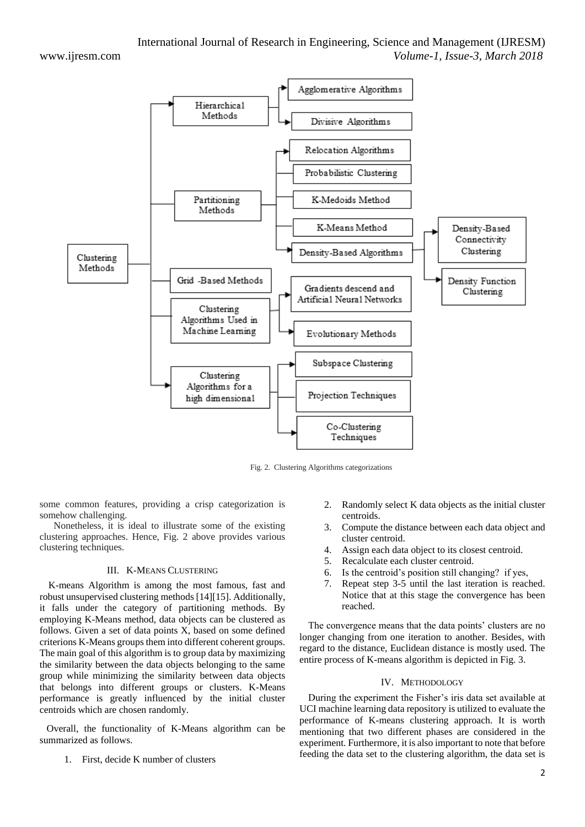

Fig. 2. Clustering Algorithms categorizations

some common features, providing a crisp categorization is somehow challenging.

Nonetheless, it is ideal to illustrate some of the existing clustering approaches. Hence, Fig. 2 above provides various clustering techniques.

# III. K-MEANS CLUSTERING

K-means Algorithm is among the most famous, fast and robust unsupervised clustering methods [14][15]. Additionally, it falls under the category of partitioning methods. By employing K-Means method, data objects can be clustered as follows. Given a set of data points X, based on some defined criterions K-Means groups them into different coherent groups. The main goal of this algorithm is to group data by maximizing the similarity between the data objects belonging to the same group while minimizing the similarity between data objects that belongs into different groups or clusters. K-Means performance is greatly influenced by the initial cluster centroids which are chosen randomly.

Overall, the functionality of K-Means algorithm can be summarized as follows.

1. First, decide K number of clusters

- 2. Randomly select K data objects as the initial cluster centroids.
- 3. Compute the distance between each data object and cluster centroid.
- 4. Assign each data object to its closest centroid.
- 5. Recalculate each cluster centroid.
- 6. Is the centroid's position still changing? if yes,
- 7. Repeat step 3-5 until the last iteration is reached. Notice that at this stage the convergence has been reached.

The convergence means that the data points' clusters are no longer changing from one iteration to another. Besides, with regard to the distance, Euclidean distance is mostly used. The entire process of K-means algorithm is depicted in Fig. 3.

# IV. METHODOLOGY

During the experiment the Fisher's iris data set available at UCI machine learning data repository is utilized to evaluate the performance of K-means clustering approach. It is worth mentioning that two different phases are considered in the experiment. Furthermore, it is also important to note that before feeding the data set to the clustering algorithm, the data set is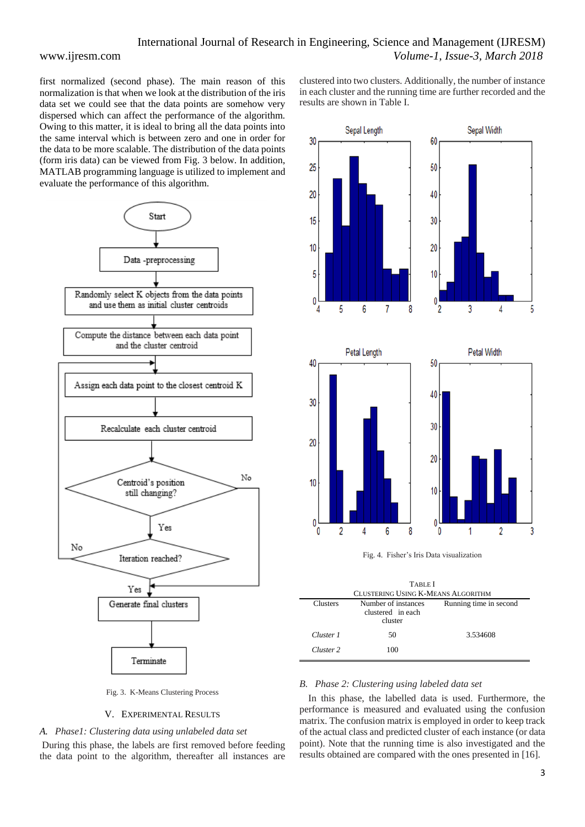first normalized (second phase). The main reason of this normalization is that when we look at the distribution of the iris data set we could see that the data points are somehow very dispersed which can affect the performance of the algorithm. Owing to this matter, it is ideal to bring all the data points into the same interval which is between zero and one in order for the data to be more scalable. The distribution of the data points (form iris data) can be viewed from Fig. 3 below. In addition, MATLAB programming language is utilized to implement and evaluate the performance of this algorithm.



Fig. 3. K-Means Clustering Process

# V. EXPERIMENTAL RESULTS

# *A. Phase1: Clustering data using unlabeled data set*

During this phase, the labels are first removed before feeding the data point to the algorithm, thereafter all instances are clustered into two clusters. Additionally, the number of instance in each cluster and the running time are further recorded and the results are shown in Table I.



| <b>TABLE</b> I                     |                                                     |                        |  |
|------------------------------------|-----------------------------------------------------|------------------------|--|
| CLUSTERING USING K-MEANS ALGORITHM |                                                     |                        |  |
| <b>Clusters</b>                    | Number of instances<br>clustered in each<br>cluster | Running time in second |  |
| Cluster 1                          | 50                                                  | 3.534608               |  |
| Cluster 2                          | 100                                                 |                        |  |
|                                    |                                                     |                        |  |

# *B. Phase 2: Clustering using labeled data set*

In this phase, the labelled data is used. Furthermore, the performance is measured and evaluated using the confusion matrix. The confusion matrix is employed in order to keep track of the actual class and predicted cluster of each instance (or data point). Note that the running time is also investigated and the results obtained are compared with the ones presented in [16].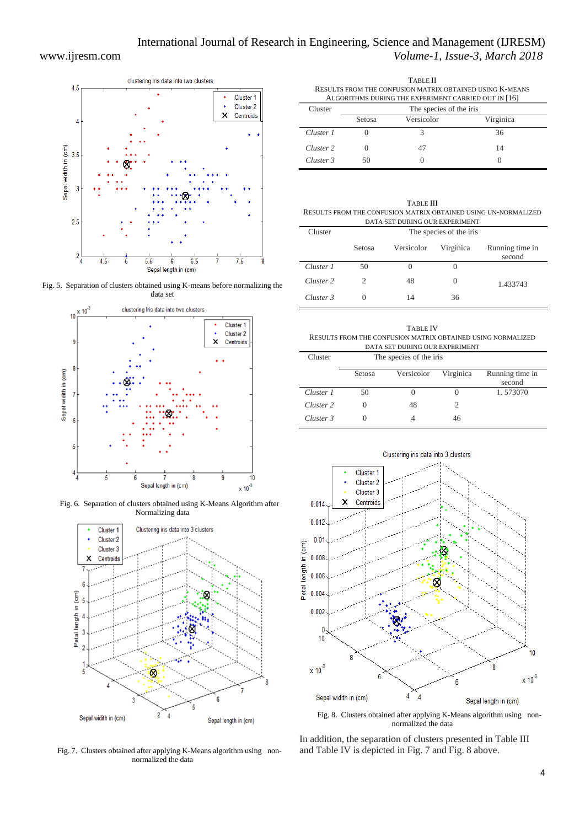Ĭ.



Fig. 5. Separation of clusters obtained using K-means before normalizing the data set



Fig. 6. Separation of clusters obtained using K-Means Algorithm after Normalizing data



Fig. 7. Clusters obtained after applying K-Means algorithm using nonnormalized the data

| TABLE II<br>RESULTS FROM THE CONFUSION MATRIX OBTAINED USING K-MEANS |                         |            |           |  |
|----------------------------------------------------------------------|-------------------------|------------|-----------|--|
|                                                                      |                         |            |           |  |
| Cluster                                                              | The species of the iris |            |           |  |
|                                                                      | Setosa                  | Versicolor | Virginica |  |
| Cluster 1                                                            |                         |            | 36        |  |
| Cluster 2                                                            |                         |            | 14        |  |
| Cluster 3                                                            | 50                      |            |           |  |

|               | TABLE III                                                       |
|---------------|-----------------------------------------------------------------|
|               | RESULTS FROM THE CONFUSION MATRIX OBTAINED USING UN-NORMALIZED  |
|               | DATA SET DURING OUR EXPERIMENT                                  |
| $\sim$ $\sim$ | $\mathbf{r}$ and $\mathbf{r}$ and $\mathbf{r}$ and $\mathbf{r}$ |

| Cluster   | The species of the iris |            |           |                           |
|-----------|-------------------------|------------|-----------|---------------------------|
|           | Setosa                  | Versicolor | Virginica | Running time in<br>second |
| Cluster 1 | 50                      |            |           |                           |
| Cluster 2 | $\mathcal{D}$           | 48         | $\theta$  | 1.433743                  |
| Cluster 3 |                         |            | 36        |                           |

| TABLE IV                                                                         |
|----------------------------------------------------------------------------------|
| RESULTS FROM THE CONFUSION MATRIX OBTAINED USING NORMALIZED                      |
| DATA SET DURING OUR EXPERIMENT                                                   |
| $\mathbf{r}$ and $\mathbf{r}$ and $\mathbf{r}$ and $\mathbf{r}$<br>$\sim$ $\sim$ |

| Cluster   | The species of the iris |            |           |                           |
|-----------|-------------------------|------------|-----------|---------------------------|
|           | Setosa                  | Versicolor | Virginica | Running time in<br>second |
| Cluster 1 | 50                      |            |           | 1.573070                  |
| Cluster 2 |                         | 48         |           |                           |
| Cluster 3 |                         |            | 46        |                           |



Fig. 8. Clusters obtained after applying K-Means algorithm using nonnormalized the data

In addition, the separation of clusters presented in Table III and Table IV is depicted in Fig. 7 and Fig. 8 above.